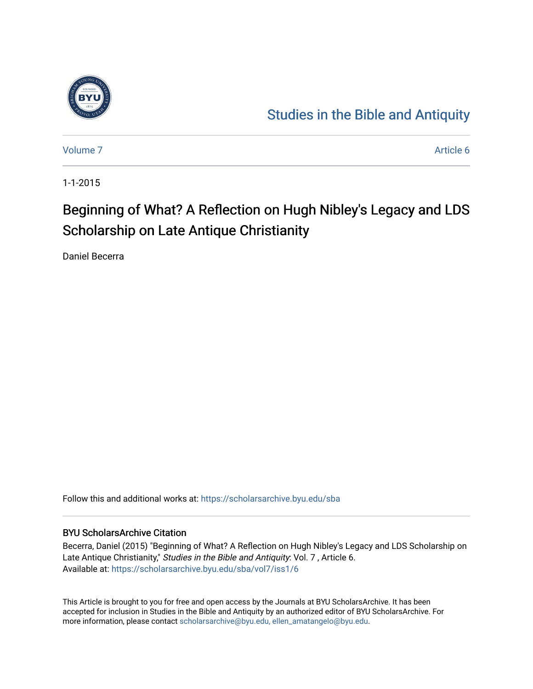

## [Studies in the Bible and Antiquity](https://scholarsarchive.byu.edu/sba)

[Volume 7](https://scholarsarchive.byu.edu/sba/vol7) Article 6

1-1-2015

# Beginning of What? A Reflection on Hugh Nibley's Legacy and LDS Scholarship on Late Antique Christianity

Daniel Becerra

Follow this and additional works at: [https://scholarsarchive.byu.edu/sba](https://scholarsarchive.byu.edu/sba?utm_source=scholarsarchive.byu.edu%2Fsba%2Fvol7%2Fiss1%2F6&utm_medium=PDF&utm_campaign=PDFCoverPages)

#### BYU ScholarsArchive Citation

Becerra, Daniel (2015) "Beginning of What? A Reflection on Hugh Nibley's Legacy and LDS Scholarship on Late Antique Christianity," Studies in the Bible and Antiquity: Vol. 7 , Article 6. Available at: [https://scholarsarchive.byu.edu/sba/vol7/iss1/6](https://scholarsarchive.byu.edu/sba/vol7/iss1/6?utm_source=scholarsarchive.byu.edu%2Fsba%2Fvol7%2Fiss1%2F6&utm_medium=PDF&utm_campaign=PDFCoverPages)

This Article is brought to you for free and open access by the Journals at BYU ScholarsArchive. It has been accepted for inclusion in Studies in the Bible and Antiquity by an authorized editor of BYU ScholarsArchive. For more information, please contact [scholarsarchive@byu.edu, ellen\\_amatangelo@byu.edu.](mailto:scholarsarchive@byu.edu,%20ellen_amatangelo@byu.edu)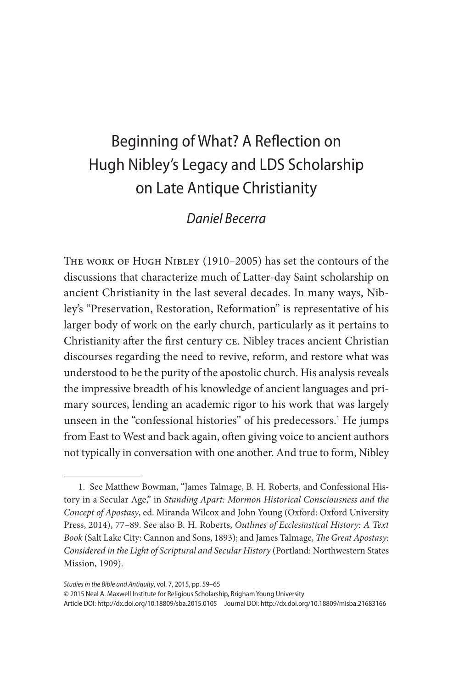## Beginning of What? A Reflection on Hugh Nibley's Legacy and LDS Scholarship on Late Antique Christianity

### *Daniel Becerra*

The work of Hugh Nibley (1910–2005) has set the contours of the discussions that characterize much of Latter-day Saint scholarship on ancient Christianity in the last several decades. In many ways, Nibley's "Preservation, Restoration, Reformation" is representative of his larger body of work on the early church, particularly as it pertains to Christianity after the first century ce. Nibley traces ancient Christian discourses regarding the need to revive, reform, and restore what was understood to be the purity of the apostolic church. His analysis reveals the impressive breadth of his knowledge of ancient languages and primary sources, lending an academic rigor to his work that was largely unseen in the "confessional histories" of his predecessors.<sup>1</sup> He jumps from East to West and back again, often giving voice to ancient authors not typically in conversation with one another. And true to form, Nibley

© 2015 Neal A. Maxwell Institute for Religious Scholarship, Brigham Young University

Article DOI: http://dx.doi.org/10.18809/sba.2015.0105 Journal DOI: http://dx.doi.org/10.18809/misba.21683166

<sup>1.</sup> See Matthew Bowman, "James Talmage, B. H. Roberts, and Confessional History in a Secular Age," in *Standing Apart: Mormon Historical Consciousness and the Concept of Apostasy*, ed. Miranda Wilcox and John Young (Oxford: Oxford University Press, 2014), 77–89. See also B. H. Roberts, *Outlines of Ecclesiastical History: A Text Book* (Salt Lake City: Cannon and Sons, 1893); and James Talmage, *The Great Apostasy: Considered in the Light of Scriptural and Secular History* (Portland: Northwestern States Mission, 1909).

*Studies in the Bible and Antiquity*, vol. 7, 2015, pp. 59–65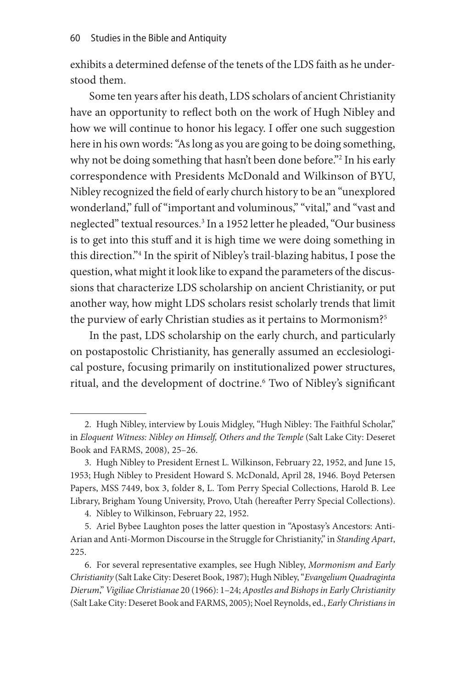exhibits a determined defense of the tenets of the LDS faith as he understood them.

Some ten years after his death, LDS scholars of ancient Christianity have an opportunity to reflect both on the work of Hugh Nibley and how we will continue to honor his legacy. I offer one such suggestion here in his own words: "As long as you are going to be doing something, why not be doing something that hasn't been done before."2 In his early correspondence with Presidents McDonald and Wilkinson of BYU, Nibley recognized the field of early church history to be an "unexplored wonderland," full of "important and voluminous," "vital," and "vast and neglected" textual resources.3 In a 1952 letter he pleaded, "Our business is to get into this stuff and it is high time we were doing something in this direction."4 In the spirit of Nibley's trail-blazing habitus, I pose the question, what might it look like to expand the parameters of the discussions that characterize LDS scholarship on ancient Christianity, or put another way, how might LDS scholars resist scholarly trends that limit the purview of early Christian studies as it pertains to Mormonism?<sup>5</sup>

In the past, LDS scholarship on the early church, and particularly on postapostolic Christianity, has generally assumed an ecclesiological posture, focusing primarily on institutionalized power structures, ritual, and the development of doctrine.<sup>6</sup> Two of Nibley's significant

<sup>2.</sup> Hugh Nibley, interview by Louis Midgley, "Hugh Nibley: The Faithful Scholar," in *Eloquent Witness: Nibley on Himself, Others and the Temple* (Salt Lake City: Deseret Book and FARMS, 2008), 25–26.

<sup>3.</sup> Hugh Nibley to President Ernest L. Wilkinson, February 22, 1952, and June 15, 1953; Hugh Nibley to President Howard S. McDonald, April 28, 1946. Boyd Petersen Papers, MSS 7449, box 3, folder 8, L. Tom Perry Special Collections, Harold B. Lee Library, Brigham Young University, Provo, Utah (hereafter Perry Special Collections).

<sup>4.</sup> Nibley to Wilkinson, February 22, 1952.

<sup>5.</sup> Ariel Bybee Laughton poses the latter question in "Apostasy's Ancestors: Anti-Arian and Anti-Mormon Discourse in the Struggle for Christianity," in *Standing Apart*, 225.

<sup>6.</sup> For several representative examples, see Hugh Nibley, *Mormonism and Early Christianity* (Salt Lake City: Deseret Book, 1987); Hugh Nibley, "*Evangelium Quadraginta Dierum*," *Vigiliae Christianae* 20 (1966): 1–24; *Apostles and Bishops in Early Christianity* (Salt Lake City: Deseret Book and FARMS, 2005); Noel Reynolds, ed., *Early Christians in*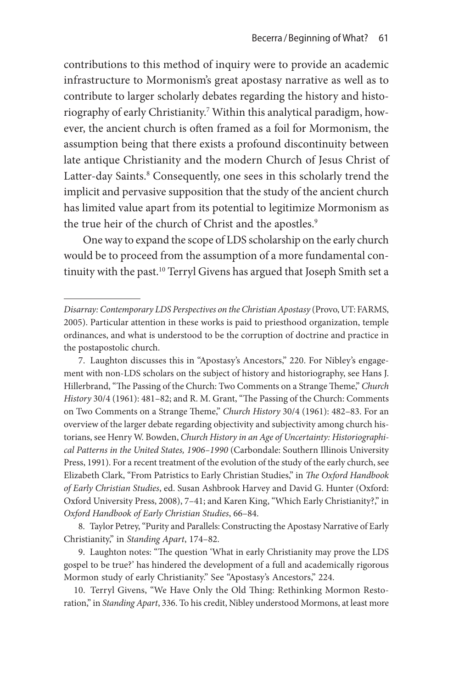contributions to this method of inquiry were to provide an academic infrastructure to Mormonism's great apostasy narrative as well as to contribute to larger scholarly debates regarding the history and historiography of early Christianity.7 Within this analytical paradigm, however, the ancient church is often framed as a foil for Mormonism, the assumption being that there exists a profound discontinuity between late antique Christianity and the modern Church of Jesus Christ of Latter-day Saints.<sup>8</sup> Consequently, one sees in this scholarly trend the implicit and pervasive supposition that the study of the ancient church has limited value apart from its potential to legitimize Mormonism as the true heir of the church of Christ and the apostles.<sup>9</sup>

One way to expand the scope of LDS scholarship on the early church would be to proceed from the assumption of a more fundamental continuity with the past.<sup>10</sup> Terryl Givens has argued that Joseph Smith set a

8. Taylor Petrey, "Purity and Parallels: Constructing the Apostasy Narrative of Early Christianity," in *Standing Apart*, 174–82.

9. Laughton notes: "The question 'What in early Christianity may prove the LDS gospel to be true?' has hindered the development of a full and academically rigorous Mormon study of early Christianity." See "Apostasy's Ancestors," 224.

10. Terryl Givens, "We Have Only the Old Thing: Rethinking Mormon Restoration," in *Standing Apart*, 336. To his credit, Nibley understood Mormons, at least more

*Disarray: Contemporary LDS Perspectives on the Christian Apostasy* (Provo, UT: FARMS, 2005). Particular attention in these works is paid to priesthood organization, temple ordinances, and what is understood to be the corruption of doctrine and practice in the postapostolic church.

<sup>7.</sup> Laughton discusses this in "Apostasy's Ancestors," 220. For Nibley's engagement with non-LDS scholars on the subject of history and historiography, see Hans J. Hillerbrand, "The Passing of the Church: Two Comments on a Strange Theme," *Church History* 30/4 (1961): 481–82; and R. M. Grant, "The Passing of the Church: Comments on Two Comments on a Strange Theme," *Church History* 30/4 (1961): 482–83. For an overview of the larger debate regarding objectivity and subjectivity among church historians, see Henry W. Bowden, *Church History in an Age of Uncertainty: Historiographical Patterns in the United States, 1906–1990* (Carbondale: Southern Illinois University Press, 1991). For a recent treatment of the evolution of the study of the early church, see Elizabeth Clark, "From Patristics to Early Christian Studies," in *The Oxford Handbook of Early Christian Studies*, ed. Susan Ashbrook Harvey and David G. Hunter (Oxford: Oxford University Press, 2008), 7–41; and Karen King, "Which Early Christianity?," in *Oxford Handbook of Early Christian Studies*, 66–84.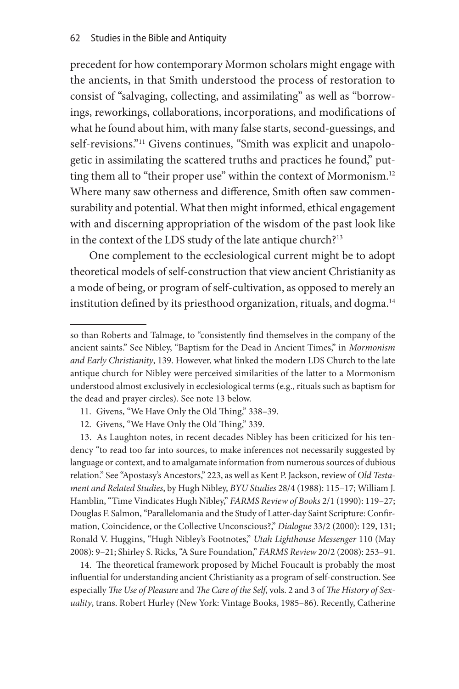precedent for how contemporary Mormon scholars might engage with the ancients, in that Smith understood the process of restoration to consist of "salvaging, collecting, and assimilating" as well as "borrowings, reworkings, collaborations, incorporations, and modifications of what he found about him, with many false starts, second-guessings, and self-revisions."<sup>11</sup> Givens continues, "Smith was explicit and unapologetic in assimilating the scattered truths and practices he found," putting them all to "their proper use" within the context of Mormonism.<sup>12</sup> Where many saw otherness and difference, Smith often saw commensurability and potential. What then might informed, ethical engagement with and discerning appropriation of the wisdom of the past look like in the context of the LDS study of the late antique church?<sup>13</sup>

One complement to the ecclesiological current might be to adopt theoretical models of self-construction that view ancient Christianity as a mode of being, or program of self-cultivation, as opposed to merely an institution defined by its priesthood organization, rituals, and dogma.<sup>14</sup>

- 11. Givens, "We Have Only the Old Thing," 338–39.
- 12. Givens, "We Have Only the Old Thing," 339.

13. As Laughton notes, in recent decades Nibley has been criticized for his tendency "to read too far into sources, to make inferences not necessarily suggested by language or context, and to amalgamate information from numerous sources of dubious relation." See "Apostasy's Ancestors," 223, as well as Kent P. Jackson, review of *Old Testament and Related Studies*, by Hugh Nibley, *BYU Studies* 28/4 (1988): 115–17; William J. Hamblin, "Time Vindicates Hugh Nibley," *FARMS Review of Books* 2/1 (1990): 119–27; Douglas F. Salmon, "Parallelomania and the Study of Latter-day Saint Scripture: Confirmation, Coincidence, or the Collective Unconscious?," *Dialogue* 33/2 (2000): 129, 131; Ronald V. Huggins, "Hugh Nibley's Footnotes," *Utah Lighthouse Messenger* 110 (May 2008): 9–21; Shirley S. Ricks, "A Sure Foundation," *FARMS Review* 20/2 (2008): 253–91.

14. The theoretical framework proposed by Michel Foucault is probably the most influential for understanding ancient Christianity as a program of self-construction. See especially *The Use of Pleasure* and *The Care of the Self*, vols. 2 and 3 of *The History of Sexuality*, trans. Robert Hurley (New York: Vintage Books, 1985–86). Recently, Catherine

so than Roberts and Talmage, to "consistently find themselves in the company of the ancient saints." See Nibley, "Baptism for the Dead in Ancient Times," in *Mormonism and Early Christianity*, 139. However, what linked the modern LDS Church to the late antique church for Nibley were perceived similarities of the latter to a Mormonism understood almost exclusively in ecclesiological terms (e.g., rituals such as baptism for the dead and prayer circles). See note 13 below.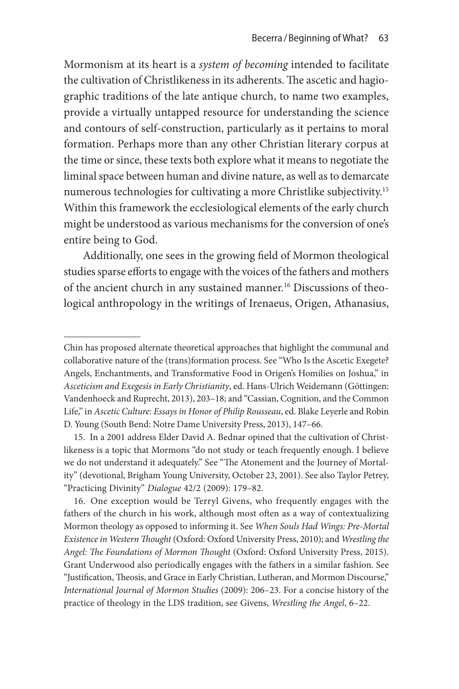Mormonism at its heart is a *system of becoming* intended to facilitate the cultivation of Christlikeness in its adherents. The ascetic and hagiographic traditions of the late antique church, to name two examples, provide a virtually untapped resource for understanding the science and contours of self-construction, particularly as it pertains to moral formation. Perhaps more than any other Christian literary corpus at the time or since, these texts both explore what it means to negotiate the liminal space between human and divine nature, as well as to demarcate numerous technologies for cultivating a more Christlike subjectivity.15 Within this framework the ecclesiological elements of the early church might be understood as various mechanisms for the conversion of one's entire being to God.

Additionally, one sees in the growing field of Mormon theological studies sparse efforts to engage with the voices of the fathers and mothers of the ancient church in any sustained manner.<sup>16</sup> Discussions of theological anthropology in the writings of Irenaeus, Origen, Athanasius,

Chin has proposed alternate theoretical approaches that highlight the communal and collaborative nature of the (trans)formation process. See "Who Is the Ascetic Exegete? Angels, Enchantments, and Transformative Food in Origen's Homilies on Joshua," in *Asceticism and Exegesis in Early Christianity*, ed. Hans-Ulrich Weidemann (Göttingen: Vandenhoeck and Ruprecht, 2013), 203–18; and "Cassian, Cognition, and the Common Life," in *Ascetic Culture: Essays in Honor of Philip Rousseau*, ed. Blake Leyerle and Robin D. Young (South Bend: Notre Dame University Press, 2013), 147–66.

<sup>15.</sup> In a 2001 address Elder David A. Bednar opined that the cultivation of Christlikeness is a topic that Mormons "do not study or teach frequently enough. I believe we do not understand it adequately." See "The Atonement and the Journey of Mortality" (devotional, Brigham Young University, October 23, 2001). See also Taylor Petrey, "Practicing Divinity" *Dialogue* 42/2 (2009): 179–82.

<sup>16.</sup> One exception would be Terryl Givens, who frequently engages with the fathers of the church in his work, although most often as a way of contextualizing Mormon theology as opposed to informing it. See *When Souls Had Wings: Pre-Mortal Existence in Western Thought* (Oxford: Oxford University Press, 2010); and *Wrestling the Angel: The Foundations of Mormon Thought* (Oxford: Oxford University Press, 2015). Grant Underwood also periodically engages with the fathers in a similar fashion. See "Justification, Theosis, and Grace in Early Christian, Lutheran, and Mormon Discourse," *International Journal of Mormon Studies* (2009): 206–23. For a concise history of the practice of theology in the LDS tradition, see Givens, *Wrestling the Angel*, 6–22.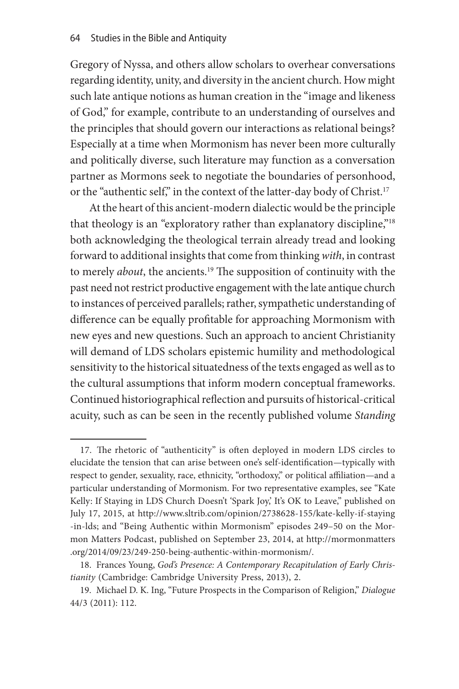Gregory of Nyssa, and others allow scholars to overhear conversations regarding identity, unity, and diversity in the ancient church. How might such late antique notions as human creation in the "image and likeness of God," for example, contribute to an understanding of ourselves and the principles that should govern our interactions as relational beings? Especially at a time when Mormonism has never been more culturally and politically diverse, such literature may function as a conversation partner as Mormons seek to negotiate the boundaries of personhood, or the "authentic self," in the context of the latter-day body of Christ.<sup>17</sup>

At the heart of this ancient-modern dialectic would be the principle that theology is an "exploratory rather than explanatory discipline,"<sup>18</sup> both acknowledging the theological terrain already tread and looking forward to additional insights that come from thinking *with*, in contrast to merely *about*, the ancients.19 The supposition of continuity with the past need not restrict productive engagement with the late antique church to instances of perceived parallels; rather, sympathetic understanding of difference can be equally profitable for approaching Mormonism with new eyes and new questions. Such an approach to ancient Christianity will demand of LDS scholars epistemic humility and methodological sensitivity to the historical situatedness of the texts engaged as well as to the cultural assumptions that inform modern conceptual frameworks. Continued historiographical reflection and pursuits of historical-critical acuity, such as can be seen in the recently published volume *Standing* 

<sup>17.</sup> The rhetoric of "authenticity" is often deployed in modern LDS circles to elucidate the tension that can arise between one's self-identification—typically with respect to gender, sexuality, race, ethnicity, "orthodoxy," or political affiliation—and a particular understanding of Mormonism. For two representative examples, see "Kate Kelly: If Staying in LDS Church Doesn't 'Spark Joy', It's OK to Leave," published on July 17, 2015, at http://www.sltrib.com/opinion/2738628-155/kate-kelly-if-staying -in-lds; and "Being Authentic within Mormonism" episodes 249–50 on the Mormon Matters Podcast, published on September 23, 2014, at http://mormonmatters .org/2014/09/23/249-250-being-authentic-within-mormonism/.

<sup>18.</sup> Frances Young, *God's Presence: A Contemporary Recapitulation of Early Christianity* (Cambridge: Cambridge University Press, 2013), 2.

<sup>19.</sup> Michael D. K. Ing, "Future Prospects in the Comparison of Religion," *Dialogue*  44/3 (2011): 112.